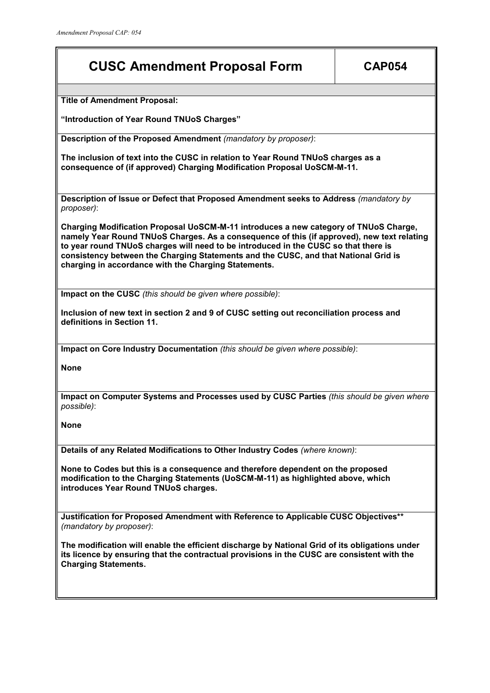## **CUSC Amendment Proposal Form CAP054**

**Title of Amendment Proposal:**

**"Introduction of Year Round TNUoS Charges"**

**Description of the Proposed Amendment** *(mandatory by proposer)*:

**The inclusion of text into the CUSC in relation to Year Round TNUoS charges as a consequence of (if approved) Charging Modification Proposal UoSCM-M-11.**

**Description of Issue or Defect that Proposed Amendment seeks to Address** *(mandatory by proposer)*:

**Charging Modification Proposal UoSCM-M-11 introduces a new category of TNUoS Charge, namely Year Round TNUoS Charges. As a consequence of this (if approved), new text relating to year round TNUoS charges will need to be introduced in the CUSC so that there is consistency between the Charging Statements and the CUSC, and that National Grid is charging in accordance with the Charging Statements.**

**Impact on the CUSC** *(this should be given where possible)*:

**Inclusion of new text in section 2 and 9 of CUSC setting out reconciliation process and definitions in Section 11.**

**Impact on Core Industry Documentation** *(this should be given where possible)*:

**None**

**Impact on Computer Systems and Processes used by CUSC Parties** *(this should be given where possible)*:

**None**

**Details of any Related Modifications to Other Industry Codes** *(where known)*:

**None to Codes but this is a consequence and therefore dependent on the proposed modification to the Charging Statements (UoSCM-M-11) as highlighted above, which introduces Year Round TNUoS charges.**

**Justification for Proposed Amendment with Reference to Applicable CUSC Objectives\*\*** *(mandatory by proposer)*:

**The modification will enable the efficient discharge by National Grid of its obligations under its licence by ensuring that the contractual provisions in the CUSC are consistent with the Charging Statements.**